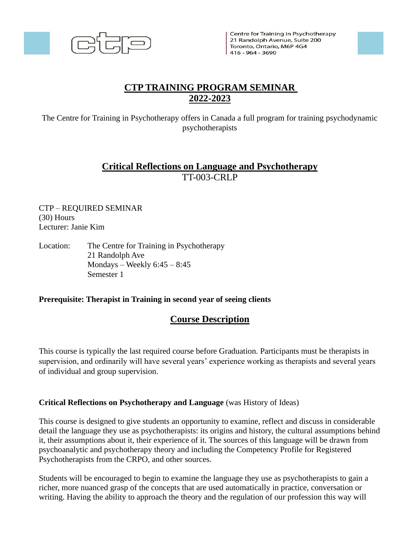

Centre for Training in Psychotherapy 21 Randolph Avenue, Suite 200 Toronto, Ontario, M6P 4G4  $1416 - 964 - 3690$ 



# **CTP TRAINING PROGRAM SEMINAR 2022-2023**

The Centre for Training in Psychotherapy offers in Canada a full program for training psychodynamic psychotherapists

## **Critical Reflections on Language and Psychotherapy** TT-003-CRLP

CTP – REQUIRED SEMINAR (30) Hours Lecturer: Janie Kim

Location: The Centre for Training in Psychotherapy 21 Randolph Ave Mondays – Weekly  $6:45 - 8:45$ Semester 1

#### **Prerequisite: Therapist in Training in second year of seeing clients**

### **Course Description**

This course is typically the last required course before Graduation. Participants must be therapists in supervision, and ordinarily will have several years' experience working as therapists and several years of individual and group supervision.

#### **Critical Reflections on Psychotherapy and Language** (was History of Ideas)

This course is designed to give students an opportunity to examine, reflect and discuss in considerable detail the language they use as psychotherapists: its origins and history, the cultural assumptions behind it, their assumptions about it, their experience of it. The sources of this language will be drawn from psychoanalytic and psychotherapy theory and including the Competency Profile for Registered Psychotherapists from the CRPO, and other sources.

Students will be encouraged to begin to examine the language they use as psychotherapists to gain a richer, more nuanced grasp of the concepts that are used automatically in practice, conversation or writing. Having the ability to approach the theory and the regulation of our profession this way will